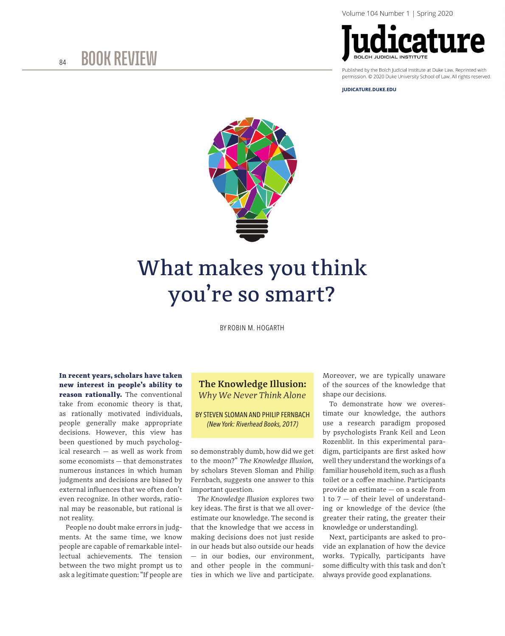

permission. © 2020 Duke University School of Law. All rights reserved

**IUDICATURE.DUKE.EDU** 



## What makes you think you're so smart?

BY ROBIN M. HOGARTH

In recent years, scholars have taken new interest in people's ability to reason rationally. The conventional take from economic theory is that, as rationally motivated individuals, people generally make appropriate decisions. However, this view has been questioned by much psychological research — as well as work from some economists — that demonstrates numerous instances in which human judgments and decisions are biased by external influences that we often don't even recognize. In other words, rational may be reasonable, but rational is

People no doubt make errors in judgments. At the same time, we know people are capable of remarkable intellectual achievements. The tension between the two might prompt us to ask a legitimate question: "If people are

not reality.

## **The Knowledge Illusion:** *Why We Never Think Alone*

BY STEVEN SLOMAN AND PHILIP FERNBACH *(New York: Riverhead Books, 2017)*

so demonstrably dumb, how did we get to the moon?" *The Knowledge Illusion,*  by scholars Steven Sloman and Philip Fernbach, suggests one answer to this important question.

*The Knowledge Illusion* explores two key ideas. The first is that we all overestimate our knowledge. The second is that the knowledge that we access in making decisions does not just reside in our heads but also outside our heads — in our bodies, our environment, and other people in the communities in which we live and participate.

Moreover, we are typically unaware of the sources of the knowledge that shape our decisions.

To demonstrate how we overestimate our knowledge, the authors use a research paradigm proposed by psychologists Frank Keil and Leon Rozenblit. In this experimental paradigm, participants are first asked how well they understand the workings of a familiar household item, such as a flush toilet or a coffee machine. Participants provide an estimate — on a scale from 1 to 7 — of their level of understanding or knowledge of the device (the greater their rating, the greater their knowledge or understanding).

Next, participants are asked to provide an explanation of how the device works. Typically, participants have some difficulty with this task and don't always provide good explanations.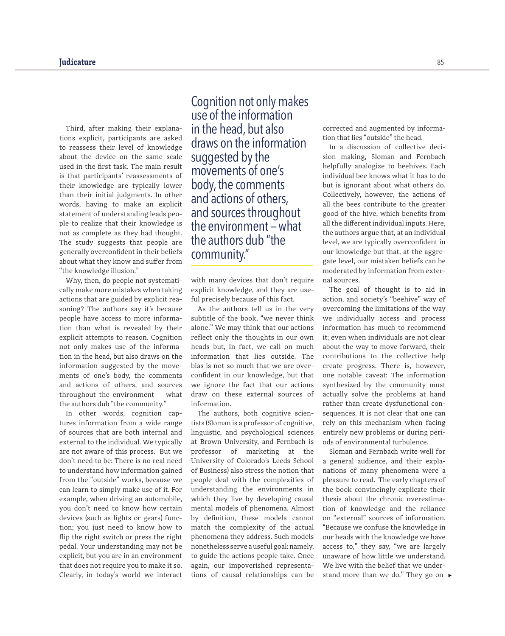Third, after making their explanations explicit, participants are asked to reassess their level of knowledge about the device on the same scale used in the first task. The main result is that participants' reassessments of their knowledge are typically lower than their initial judgments. In other words, having to make an explicit statement of understanding leads people to realize that their knowledge is not as complete as they had thought. The study suggests that people are generally overconfident in their beliefs about what they know and suffer from "the knowledge illusion."

Why, then, do people not systematically make more mistakes when taking actions that are guided by explicit reasoning? The authors say it's because people have access to more information than what is revealed by their explicit attempts to reason. Cognition not only makes use of the information in the head, but also draws on the information suggested by the movements of one's body, the comments and actions of others, and sources throughout the environment — what the authors dub "the community."

In other words, cognition captures information from a wide range of sources that are both internal and external to the individual. We typically are not aware of this process. But we don't need to be: There is no real need to understand how information gained from the "outside" works, because we can learn to simply make use of it. For example, when driving an automobile, you don't need to know how certain devices (such as lights or gears) function; you just need to know how to flip the right switch or press the right pedal. Your understanding may not be explicit, but you are in an environment that does not require you to make it so. Clearly, in today's world we interact

Cognition not only makes use of the information in the head, but also draws on the information suggested by the movements of one's body, the comments and actions of others, and sources throughout the environment — what the authors dub "the community."

with many devices that don't require explicit knowledge, and they are useful precisely because of this fact.

As the authors tell us in the very subtitle of the book, "we never think alone." We may think that our actions reflect only the thoughts in our own heads but, in fact, we call on much information that lies outside. The bias is not so much that we are overconfident in our knowledge, but that we ignore the fact that our actions draw on these external sources of information.

The authors, both cognitive scientists (Sloman is a professor of cognitive, linguistic, and psychological sciences at Brown University, and Fernbach is professor of marketing at the University of Colorado's Leeds School of Business) also stress the notion that people deal with the complexities of understanding the environments in which they live by developing causal mental models of phenomena. Almost by definition, these models cannot match the complexity of the actual phenomena they address. Such models nonetheless serve a useful goal: namely, to guide the actions people take. Once again, our impoverished representations of causal relationships can be

corrected and augmented by information that lies "outside" the head.

In a discussion of collective decision making, Sloman and Fernbach helpfully analogize to beehives. Each individual bee knows what it has to do but is ignorant about what others do. Collectively, however, the actions of all the bees contribute to the greater good of the hive, which benefits from all the different individual inputs. Here, the authors argue that, at an individual level, we are typically overconfident in our knowledge but that, at the aggregate level, our mistaken beliefs can be moderated by information from external sources.

The goal of thought is to aid in action, and society's "beehive" way of overcoming the limitations of the way we individually access and process information has much to recommend it; even when individuals are not clear about the way to move forward, their contributions to the collective help create progress. There is, however, one notable caveat: The information synthesized by the community must actually solve the problems at hand rather than create dysfunctional consequences. It is not clear that one can rely on this mechanism when facing entirely new problems or during periods of environmental turbulence.

stand more than we do." They go on ▶ Sloman and Fernbach write well for a general audience, and their explanations of many phenomena were a pleasure to read. The early chapters of the book convincingly explicate their thesis about the chronic overestimation of knowledge and the reliance on "external" sources of information. "Because we confuse the knowledge in our heads with the knowledge we have access to," they say, "we are largely unaware of how little we understand. We live with the belief that we under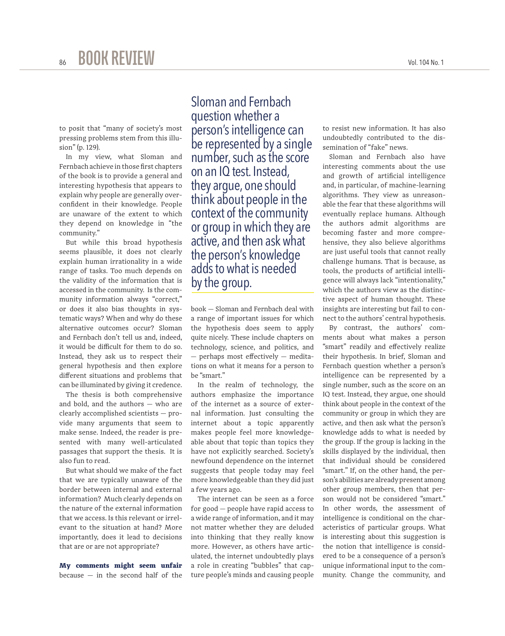to posit that "many of society's most pressing problems stem from this illusion" (p. 129).

In my view, what Sloman and Fernbach achieve in those first chapters of the book is to provide a general and interesting hypothesis that appears to explain why people are generally overconfident in their knowledge. People are unaware of the extent to which they depend on knowledge in "the community."

But while this broad hypothesis seems plausible, it does not clearly explain human irrationality in a wide range of tasks. Too much depends on the validity of the information that is accessed in the community. Is the community information always "correct," or does it also bias thoughts in systematic ways? When and why do these alternative outcomes occur? Sloman and Fernbach don't tell us and, indeed, it would be difficult for them to do so. Instead, they ask us to respect their general hypothesis and then explore different situations and problems that can be illuminated by giving it credence.

The thesis is both comprehensive and bold, and the authors — who are clearly accomplished scientists — provide many arguments that seem to make sense. Indeed, the reader is presented with many well-articulated passages that support the thesis. It is also fun to read.

But what should we make of the fact that we are typically unaware of the border between internal and external information? Much clearly depends on the nature of the external information that we access. Is this relevant or irrelevant to the situation at hand? More importantly, does it lead to decisions that are or are not appropriate?

My comments might seem unfair because  $-$  in the second half of the

Sloman and Fernbach question whether a person's intelligence can be represented by a single number, such as the score on an IQ test. Instead, they argue, one should think about people in the context of the community or group in which they are active, and then ask what the person's knowledge adds to what is needed by the group.

book — Sloman and Fernbach deal with a range of important issues for which the hypothesis does seem to apply quite nicely. These include chapters on technology, science, and politics, and — perhaps most effectively — meditations on what it means for a person to be "smart."

In the realm of technology, the authors emphasize the importance of the internet as a source of external information. Just consulting the internet about a topic apparently makes people feel more knowledgeable about that topic than topics they have not explicitly searched. Society's newfound dependence on the internet suggests that people today may feel more knowledgeable than they did just a few years ago.

The internet can be seen as a force for good — people have rapid access to a wide range of information, and it may not matter whether they are deluded into thinking that they really know more. However, as others have articulated, the internet undoubtedly plays a role in creating "bubbles" that capture people's minds and causing people

to resist new information. It has also undoubtedly contributed to the dissemination of "fake" news.

Sloman and Fernbach also have interesting comments about the use and growth of artificial intelligence and, in particular, of machine-learning algorithms. They view as unreasonable the fear that these algorithms will eventually replace humans. Although the authors admit algorithms are becoming faster and more comprehensive, they also believe algorithms are just useful tools that cannot really challenge humans. That is because, as tools, the products of artificial intelligence will always lack "intentionality," which the authors view as the distinctive aspect of human thought. These insights are interesting but fail to connect to the authors' central hypothesis.

By contrast, the authors' comments about what makes a person "smart" readily and effectively realize their hypothesis. In brief, Sloman and Fernbach question whether a person's intelligence can be represented by a single number, such as the score on an IQ test. Instead, they argue, one should think about people in the context of the community or group in which they are active, and then ask what the person's knowledge adds to what is needed by the group. If the group is lacking in the skills displayed by the individual, then that individual should be considered "smart." If, on the other hand, the person's abilities are already present among other group members, then that person would not be considered "smart." In other words, the assessment of intelligence is conditional on the characteristics of particular groups. What is interesting about this suggestion is the notion that intelligence is considered to be a consequence of a person's unique informational input to the community. Change the community, and